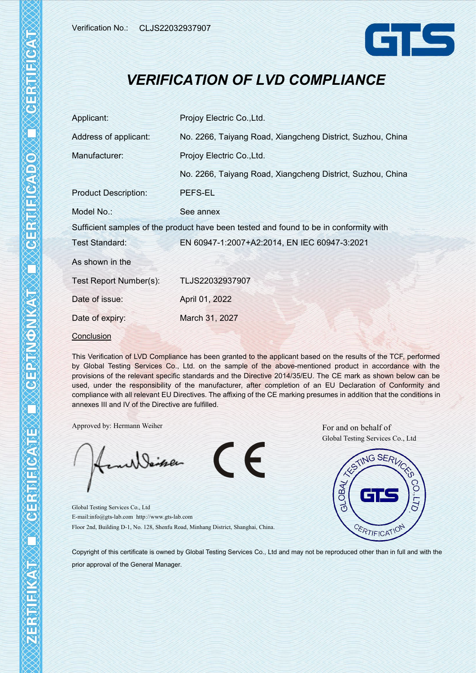

## *VERIFICATION OF LVD COMPLIANCE*

| Applicant:                  | Projoy Electric Co., Ltd.                                                             |  |  |  |  |
|-----------------------------|---------------------------------------------------------------------------------------|--|--|--|--|
| Address of applicant:       | No. 2266, Taiyang Road, Xiangcheng District, Suzhou, China                            |  |  |  |  |
| Manufacturer:               | Projoy Electric Co., Ltd.                                                             |  |  |  |  |
|                             | No. 2266, Taiyang Road, Xiangcheng District, Suzhou, China                            |  |  |  |  |
| <b>Product Description:</b> | PEFS-EL                                                                               |  |  |  |  |
| Model No.:                  | See annex                                                                             |  |  |  |  |
|                             | Sufficient samples of the product have been tested and found to be in conformity with |  |  |  |  |
| Test Standard:              | EN 60947-1:2007+A2:2014, EN IEC 60947-3:2021                                          |  |  |  |  |
| As shown in the             |                                                                                       |  |  |  |  |
| Test Report Number(s):      | TLJS22032937907                                                                       |  |  |  |  |
| Date of issue:              | April 01, 2022                                                                        |  |  |  |  |
| Date of expiry:             | March 31, 2027                                                                        |  |  |  |  |
| Conclusion                  |                                                                                       |  |  |  |  |

This Verification of LVD Compliance has been granted to the applicant based on the results of the TCF, performed by Global Testing Services Co., Ltd. on the sample of the above-mentioned product in accordance with the provisions of the relevant specific standards and the Directive 2014/35/EU. The CE mark as shown below can be used, under the responsibility of the manufacturer, after completion of an EU Declaration of Conformity and compliance with all relevant EU Directives. The affixing of the CE marking presumes in addition that the conditions in annexes III and IV of the Directive are fulfilled.

 $\mathsf{CE}$ 

Approved by: Hermann Weiher For and on behalf of

Seiner

Global Testing Services Co., Ltd E-mail:info@gts-lab.com http://www.gts-lab.com Floor 2nd, Building D-1, No. 128, Shenfu Road, Minhang District, Shanghai, China. Global Testing Services Co., Ltd



Copyright of this certificate is owned by Global Testing Services Co., Ltd and may not be reproduced other than in full and with the prior approval of the General Manager.